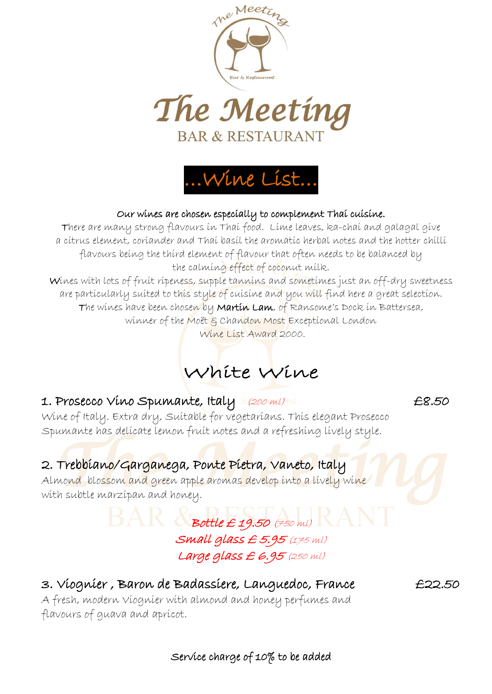



#### Our wines are chosen especially to complement Thai cuisine.

There are many strong flavours in Thai food. Lime leaves, ka-chai and galagal give a citrus element, coriander and Thai basil the aromatic herbal notes and the hotter chilli flavours being the third element of flavour that often needs to be balanced by the calming effect of coconut milk.

Wines with lots of fruit ripeness, supple tannins and sometimes just an off-dry sweetness are particularly suited to this style of cuisine and you will find here a great selection. The wines have been chosen by M**artin Lam**, of Ransome's Dock in Battersea, winner of the Moët & Chandon Most Exceptional London

Wine List Award 2000.

# White Wine

### 1. Prosecco Víno Spumante, Italy Resonally to the E8.50

Wine of Italy. Extra dry, Suitable for vegetarians. This elegant Prosecco Spumante has delicate lemon fruit notes and a refreshing lively style.

## 2. Trebbiano/Garganega, Ponte Pietra, Vaneto, Italy

Almond blossom and green apple aromas develop into a lively wine with subtle marzipan and honey.

## $\text{BAR}$  Spottle £ 19.50 (750 ml) Small glass £ 5.95 (175 ml) Large glass £ 6.95 (250 ml)

## 3. Viognier , Baron de Badassiere, Languedoc, France £22.50

A fresh, modern Viognier with almond and honey perfumes and flavours of guava and apricot.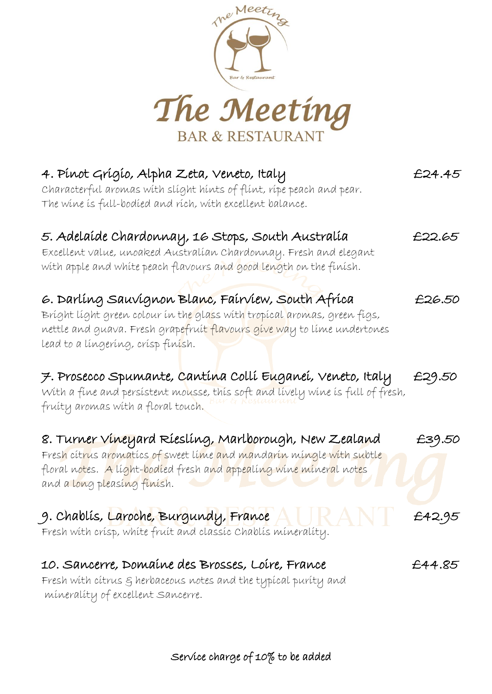

| 4. Pínot Grígío, Alpha Zeta, Veneto, Italy<br>Characterful aromas with slight hints of flint, ripe peach and pear.<br>The wine is full-bodied and rich, with excellent balance.                                                                                                             | £24.45 |
|---------------------------------------------------------------------------------------------------------------------------------------------------------------------------------------------------------------------------------------------------------------------------------------------|--------|
| 5. Adelaíde Chardonnay, 16 Stops, South Australía<br>Excellent value, unoaked Australían Chardonnay. Fresh and elegant<br>with apple and white peach flavours and good length on the finish.                                                                                                | £22.65 |
| 6. Darlíng Sauvignon Blanc, Fairview, South Africa<br>Bríght líght green colour ín th <mark>e gla</mark> ss wíth tropícal aromas, green fígs,<br>nettle and guava. Fresh grapefruít <mark>flavours gíve wa</mark> y to líme undertones<br>lead to a língeríng, crísp fín <mark>í</mark> sh. | £26.50 |
| 7. Prosecco Spumante, Cantína Collí Euganeí, Veneto, Italy<br>With a fine and persistent mousse, this soft and lively wine is full of fresh,<br>fruíty aromas wíth a floral touch.                                                                                                          | £29.50 |
| 8. Turner Vineyard Ríeslíng, Marlborough, New Zealand<br>Fresh cít <mark>r</mark> us aromatícs of sweet líme and mandarín míngle with subtle<br>floral notes. A líght-bodíed fresh a <mark>nd appealíng wíne mínera</mark> l not <mark>e</mark> s<br>and a long pleasing finish.            | £39.50 |
| 9. Chablís, <mark>La</mark> roche, Burgundy, Franc <mark>e</mark><br>$2$ A N $1$<br>Fresh with crisp, white fruit and classic Chablis minerality.                                                                                                                                           | £42.95 |
| 10. Sancerre, Domaíne des Brosses, Loíre, France<br>Fresh with citrus § herbaceous notes and the typical purity and<br>minerality of excellent sancerre.                                                                                                                                    | £44.85 |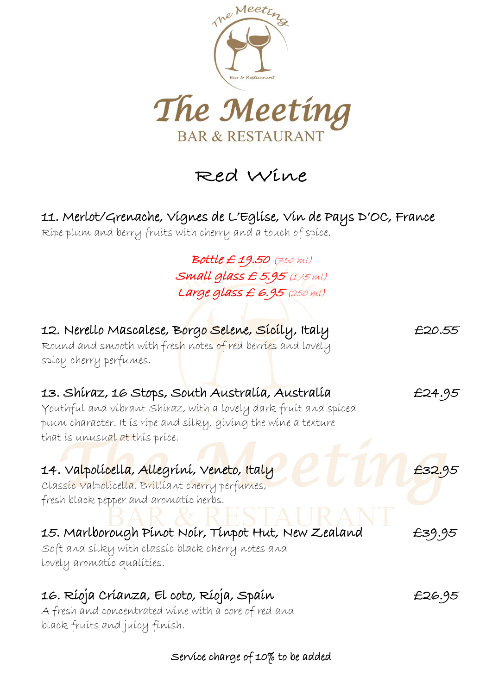

Red Wine

## 11. Merlot/Grenache, Vignes de L'Eglise, Vin de Pays D'OC, France

Ripe plum and berry fruits with cherry and a touch of spice.

Bottle £ 19.50 (750 ml) Small glass  $£ 5.95$  (175 ml) Large glass  $E$  6.95 (250 ml)

| 12. Nerello Mascalese, B <mark>o</mark> rgo <mark>Selene, Sícíl</mark> y, Italy<br>Round and smooth with fresh notes of red berries and lovely<br>spicy cherry perfumes.                                                  | £20.55 |
|---------------------------------------------------------------------------------------------------------------------------------------------------------------------------------------------------------------------------|--------|
| 13. Shíraz, 16 Stops, South Australía, Australía<br>Youthful and víbrant Shíraz, wíth a lovely dark fruít and spíced<br>plum character. It is ripe and silky, giving the wine a texture<br>that is unusual at this price. | £24.95 |
| 14. Valpolí <mark>cella, Alle</mark> gríní, V <mark>eneto, Ital</mark> y<br>Classic Valpolicella. Brilliant cherry perfumes,<br>fresh black pepper and aromatic herbs.                                                    | £32.95 |
| 15. Marlborough Pínot Noír, Tínpot Hut, New Zealand<br>Soft and silky with classic black cherry notes and<br>lovely aromatíc qualítíes.                                                                                   | £39.95 |
| 16. Ríoja Críanza, El coto, Ríoja, Spaín<br>A fresh and concentrated wine with a core of red and<br>black fruits and juicy finish.                                                                                        | £26.95 |